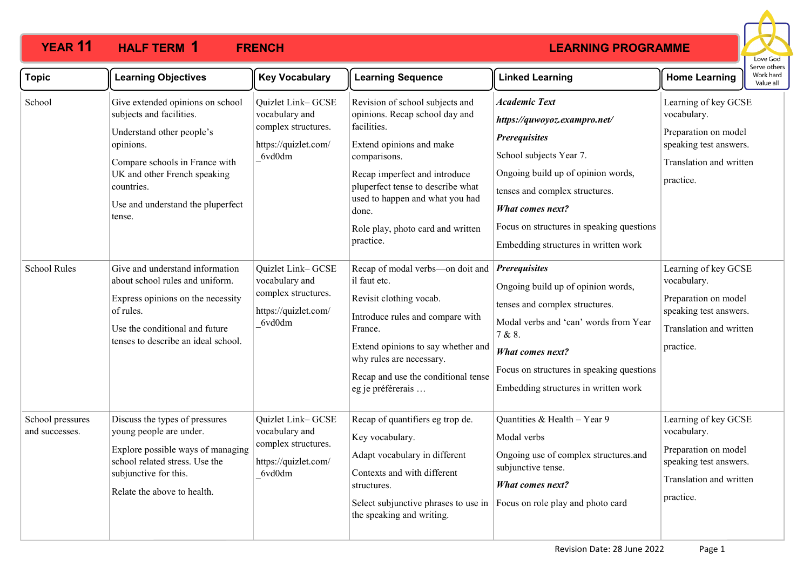

| <b>Topic</b>                       | <b>Learning Objectives</b>                                                                                                                                                                                                            | <b>Key Vocabulary</b>                                                                        | <b>Learning Sequence</b>                                                                                                                                                                                                                                                                         | <b>Linked Learning</b>                                                                                                                                                                                                                                                                          | <b>Home Learning</b>                                                                                                          | Work hard<br>Value all |  |
|------------------------------------|---------------------------------------------------------------------------------------------------------------------------------------------------------------------------------------------------------------------------------------|----------------------------------------------------------------------------------------------|--------------------------------------------------------------------------------------------------------------------------------------------------------------------------------------------------------------------------------------------------------------------------------------------------|-------------------------------------------------------------------------------------------------------------------------------------------------------------------------------------------------------------------------------------------------------------------------------------------------|-------------------------------------------------------------------------------------------------------------------------------|------------------------|--|
| School                             | Give extended opinions on school<br>subjects and facilities.<br>Understand other people's<br>opinions.<br>Compare schools in France with<br>UK and other French speaking<br>countries.<br>Use and understand the pluperfect<br>tense. | Quizlet Link-GCSE<br>vocabulary and<br>complex structures.<br>https://quizlet.com/<br>6vd0dm | Revision of school subjects and<br>opinions. Recap school day and<br>facilities.<br>Extend opinions and make<br>comparisons.<br>Recap imperfect and introduce<br>pluperfect tense to describe what<br>used to happen and what you had<br>done.<br>Role play, photo card and written<br>practice. | <b>Academic Text</b><br>https://quwoyoz.exampro.net/<br><b>Prerequisites</b><br>School subjects Year 7.<br>Ongoing build up of opinion words,<br>tenses and complex structures.<br><b>What comes next?</b><br>Focus on structures in speaking questions<br>Embedding structures in written work | Learning of key GCSE<br>vocabulary.<br>Preparation on model<br>speaking test answers.<br>Translation and written<br>practice. |                        |  |
| <b>School Rules</b>                | Give and understand information<br>about school rules and uniform.<br>Express opinions on the necessity<br>of rules.<br>Use the conditional and future<br>tenses to describe an ideal school.                                         | Quizlet Link-GCSE<br>vocabulary and<br>complex structures.<br>https://quizlet.com/<br>6vd0dm | Recap of modal verbs-on doit and<br>il faut etc.<br>Revisit clothing vocab.<br>Introduce rules and compare with<br>France.<br>Extend opinions to say whether and<br>why rules are necessary.<br>Recap and use the conditional tense<br>eg je préférerais                                         | <b>Prerequisites</b><br>Ongoing build up of opinion words,<br>tenses and complex structures.<br>Modal verbs and 'can' words from Year<br>7 & 8.<br><b>What comes next?</b><br>Focus on structures in speaking questions<br>Embedding structures in written work                                 | Learning of key GCSE<br>vocabulary.<br>Preparation on model<br>speaking test answers.<br>Translation and written<br>practice. |                        |  |
| School pressures<br>and successes. | Discuss the types of pressures<br>young people are under.<br>Explore possible ways of managing<br>school related stress. Use the<br>subjunctive for this.<br>Relate the above to health.                                              | Quizlet Link-GCSE<br>vocabulary and<br>complex structures.<br>https://quizlet.com/<br>6vd0dm | Recap of quantifiers eg trop de.<br>Key vocabulary.<br>Adapt vocabulary in different<br>Contexts and with different<br>structures.<br>Select subjunctive phrases to use in<br>the speaking and writing.                                                                                          | Quantities & Health - Year 9<br>Modal verbs<br>Ongoing use of complex structures.and<br>subjunctive tense.<br><b>What comes next?</b><br>Focus on role play and photo card                                                                                                                      | Learning of key GCSE<br>vocabulary.<br>Preparation on model<br>speaking test answers.<br>Translation and written<br>practice. |                        |  |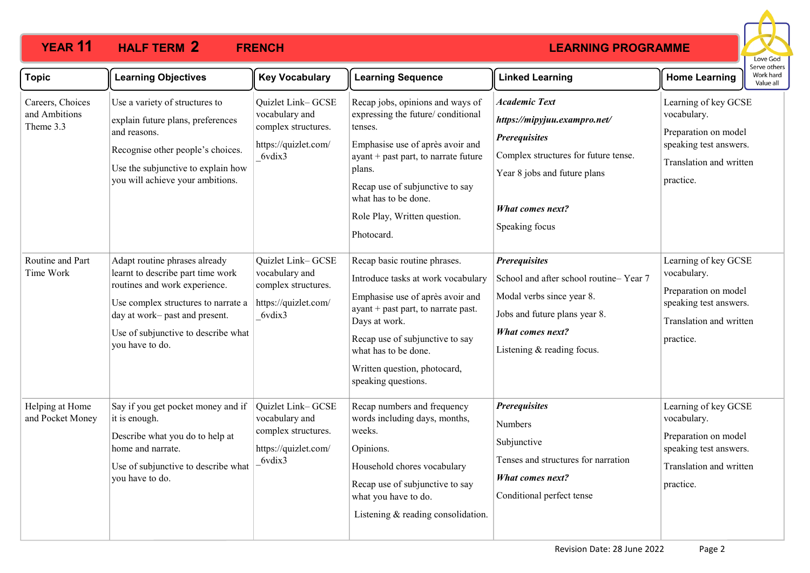

| <b>Topic</b>                                   | <b>Learning Objectives</b>                                                                                                                                                                                                             | <b>Key Vocabulary</b>                                                                        | <b>Learning Sequence</b>                                                                                                                                                                                                                                                            | <b>Linked Learning</b>                                                                                                                                                                            | וסטו אב היוונ<br>Work hard<br><b>Home Learning</b><br>Value all                                                               |
|------------------------------------------------|----------------------------------------------------------------------------------------------------------------------------------------------------------------------------------------------------------------------------------------|----------------------------------------------------------------------------------------------|-------------------------------------------------------------------------------------------------------------------------------------------------------------------------------------------------------------------------------------------------------------------------------------|---------------------------------------------------------------------------------------------------------------------------------------------------------------------------------------------------|-------------------------------------------------------------------------------------------------------------------------------|
| Careers, Choices<br>and Ambitions<br>Theme 3.3 | Use a variety of structures to<br>explain future plans, preferences<br>and reasons.<br>Recognise other people's choices.<br>Use the subjunctive to explain how<br>you will achieve your ambitions.                                     | Quizlet Link-GCSE<br>vocabulary and<br>complex structures.<br>https://quizlet.com/<br>6vdix3 | Recap jobs, opinions and ways of<br>expressing the future/ conditional<br>tenses.<br>Emphasise use of après avoir and<br>$ayant + past part$ , to narrate future<br>plans.<br>Recap use of subjunctive to say<br>what has to be done.<br>Role Play, Written question.<br>Photocard. | <b>Academic Text</b><br>https://mipyjuu.exampro.net/<br><b>Prerequisites</b><br>Complex structures for future tense.<br>Year 8 jobs and future plans<br><b>What comes next?</b><br>Speaking focus | Learning of key GCSE<br>vocabulary.<br>Preparation on model<br>speaking test answers.<br>Translation and written<br>practice. |
| Routine and Part<br>Time Work                  | Adapt routine phrases already<br>learnt to describe part time work<br>routines and work experience.<br>Use complex structures to narrate a<br>day at work- past and present.<br>Use of subjunctive to describe what<br>you have to do. | Quizlet Link-GCSE<br>vocabulary and<br>complex structures.<br>https://quizlet.com/<br>6vdix3 | Recap basic routine phrases.<br>Introduce tasks at work vocabulary<br>Emphasise use of après avoir and<br>ayant + past part, to narrate past.<br>Days at work.<br>Recap use of subjunctive to say<br>what has to be done.<br>Written question, photocard,<br>speaking questions.    | <b>Prerequisites</b><br>School and after school routine-Year 7<br>Modal verbs since year 8.<br>Jobs and future plans year 8.<br><b>What comes next?</b><br>Listening & reading focus.             | Learning of key GCSE<br>vocabulary.<br>Preparation on model<br>speaking test answers.<br>Translation and written<br>practice. |
| Helping at Home<br>and Pocket Money            | Say if you get pocket money and if<br>it is enough.<br>Describe what you do to help at<br>home and narrate.<br>Use of subjunctive to describe what<br>you have to do.                                                                  | Quizlet Link-GCSE<br>vocabulary and<br>complex structures.<br>https://quizlet.com/<br>6vdix3 | Recap numbers and frequency<br>words including days, months,<br>weeks.<br>Opinions.<br>Household chores vocabulary<br>Recap use of subjunctive to say<br>what you have to do.<br>Listening & reading consolidation.                                                                 | <b>Prerequisites</b><br><b>Numbers</b><br>Subjunctive<br>Tenses and structures for narration<br><b>What comes next?</b><br>Conditional perfect tense                                              | Learning of key GCSE<br>vocabulary.<br>Preparation on model<br>speaking test answers.<br>Translation and written<br>practice. |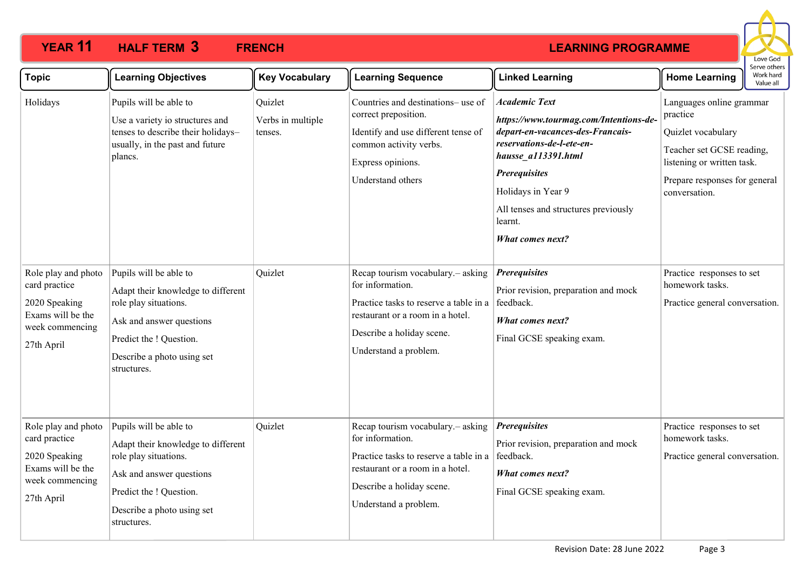

| <b>Topic</b>                                                                                                | <b>Learning Objectives</b>                                                                                                                                                                | <b>Key Vocabulary</b>                   | <b>Learning Sequence</b>                                                                                                                                                                   | <b>Linked Learning</b>                                                                                                                                                                                                                                                             | <b>Home Learning</b>                                                                                                                                                    | וסטו שכן עכן ז<br>Work hard<br>Value all |
|-------------------------------------------------------------------------------------------------------------|-------------------------------------------------------------------------------------------------------------------------------------------------------------------------------------------|-----------------------------------------|--------------------------------------------------------------------------------------------------------------------------------------------------------------------------------------------|------------------------------------------------------------------------------------------------------------------------------------------------------------------------------------------------------------------------------------------------------------------------------------|-------------------------------------------------------------------------------------------------------------------------------------------------------------------------|------------------------------------------|
| Holidays                                                                                                    | Pupils will be able to<br>Use a variety io structures and<br>tenses to describe their holidays-<br>usually, in the past and future<br>plancs.                                             | Quizlet<br>Verbs in multiple<br>tenses. | Countries and destinations- use of<br>correct preposition.<br>Identify and use different tense of<br>common activity verbs.<br>Express opinions.<br>Understand others                      | <b>Academic Text</b><br>https://www.tourmag.com/Intentions-de-<br>depart-en-vacances-des-Francais-<br>reservations-de-l-ete-en-<br>hausse_a113391.html<br><b>Prerequisites</b><br>Holidays in Year 9<br>All tenses and structures previously<br>learnt.<br><b>What comes next?</b> | Languages online grammar<br>practice<br>Quizlet vocabulary<br>Teacher set GCSE reading,<br>listening or written task.<br>Prepare responses for general<br>conversation. |                                          |
| Role play and photo<br>card practice<br>2020 Speaking<br>Exams will be the<br>week commencing<br>27th April | Pupils will be able to<br>Adapt their knowledge to different<br>role play situations.<br>Ask and answer questions<br>Predict the ! Question.<br>Describe a photo using set<br>structures. | Quizlet                                 | Recap tourism vocabulary. - asking<br>for information.<br>Practice tasks to reserve a table in a<br>restaurant or a room in a hotel.<br>Describe a holiday scene.<br>Understand a problem. | <b>Prerequisites</b><br>Prior revision, preparation and mock<br>feedback.<br><b>What comes next?</b><br>Final GCSE speaking exam.                                                                                                                                                  | Practice responses to set<br>homework tasks.<br>Practice general conversation.                                                                                          |                                          |
| Role play and photo<br>card practice<br>2020 Speaking<br>Exams will be the<br>week commencing<br>27th April | Pupils will be able to<br>Adapt their knowledge to different<br>role play situations.<br>Ask and answer questions<br>Predict the ! Question.<br>Describe a photo using set<br>structures. | Quizlet                                 | Recap tourism vocabulary. - asking<br>for information.<br>Practice tasks to reserve a table in a<br>restaurant or a room in a hotel.<br>Describe a holiday scene.<br>Understand a problem. | <b>Prerequisites</b><br>Prior revision, preparation and mock<br>feedback.<br><b>What comes next?</b><br>Final GCSE speaking exam.                                                                                                                                                  | Practice responses to set<br>homework tasks.<br>Practice general conversation.                                                                                          |                                          |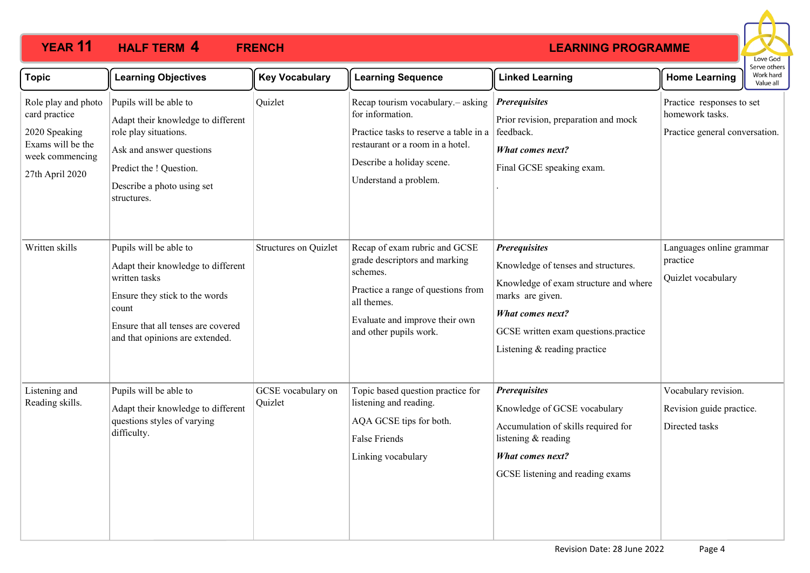

| <b>Topic</b>                                                                                                     | <b>Learning Objectives</b>                                                                                                                                                                        | <b>Key Vocabulary</b>         | <b>Learning Sequence</b>                                                                                                                                                                    | <b>Linked Learning</b>                                                                                                                                                                                                      | <b>Home Learning</b>                                                           | Work hard<br>Value all |
|------------------------------------------------------------------------------------------------------------------|---------------------------------------------------------------------------------------------------------------------------------------------------------------------------------------------------|-------------------------------|---------------------------------------------------------------------------------------------------------------------------------------------------------------------------------------------|-----------------------------------------------------------------------------------------------------------------------------------------------------------------------------------------------------------------------------|--------------------------------------------------------------------------------|------------------------|
| Role play and photo<br>card practice<br>2020 Speaking<br>Exams will be the<br>week commencing<br>27th April 2020 | Pupils will be able to<br>Adapt their knowledge to different<br>role play situations.<br>Ask and answer questions<br>Predict the ! Question.<br>Describe a photo using set<br>structures.         | Quizlet                       | Recap tourism vocabulary. - asking<br>for information.<br>Practice tasks to reserve a table in a<br>restaurant or a room in a hotel.<br>Describe a holiday scene.<br>Understand a problem.  | <b>Prerequisites</b><br>Prior revision, preparation and mock<br>feedback.<br><b>What comes next?</b><br>Final GCSE speaking exam.                                                                                           | Practice responses to set<br>homework tasks.<br>Practice general conversation. |                        |
| Written skills                                                                                                   | Pupils will be able to<br>Adapt their knowledge to different<br>written tasks<br>Ensure they stick to the words<br>count<br>Ensure that all tenses are covered<br>and that opinions are extended. | Structures on Quizlet         | Recap of exam rubric and GCSE<br>grade descriptors and marking<br>schemes.<br>Practice a range of questions from<br>all themes.<br>Evaluate and improve their own<br>and other pupils work. | <b>Prerequisites</b><br>Knowledge of tenses and structures.<br>Knowledge of exam structure and where<br>marks are given.<br><b>What comes next?</b><br>GCSE written exam questions.practice<br>Listening & reading practice | Languages online grammar<br>practice<br>Quizlet vocabulary                     |                        |
| Listening and<br>Reading skills.                                                                                 | Pupils will be able to<br>Adapt their knowledge to different<br>questions styles of varying<br>difficulty.                                                                                        | GCSE vocabulary on<br>Quizlet | Topic based question practice for<br>listening and reading.<br>AQA GCSE tips for both.<br><b>False Friends</b><br>Linking vocabulary                                                        | <b>Prerequisites</b><br>Knowledge of GCSE vocabulary<br>Accumulation of skills required for<br>listening & reading<br><b>What comes next?</b><br>GCSE listening and reading exams                                           | Vocabulary revision.<br>Revision guide practice.<br>Directed tasks             |                        |